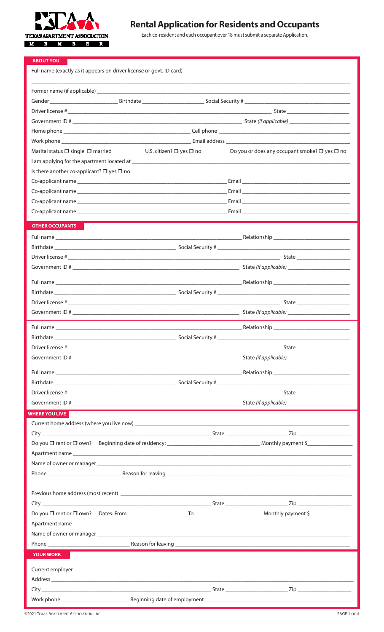

# **Rental Application for Residents and Occupants**

Each co-resident and each occupant over 18 must submit a separate Application.

| <b>ABOUT YOU</b>                                                                                                                                                                                                               |                                                         |
|--------------------------------------------------------------------------------------------------------------------------------------------------------------------------------------------------------------------------------|---------------------------------------------------------|
| Full name (exactly as it appears on driver license or govt. ID card)                                                                                                                                                           |                                                         |
|                                                                                                                                                                                                                                |                                                         |
|                                                                                                                                                                                                                                |                                                         |
|                                                                                                                                                                                                                                |                                                         |
|                                                                                                                                                                                                                                |                                                         |
|                                                                                                                                                                                                                                |                                                         |
|                                                                                                                                                                                                                                |                                                         |
| U.S. citizen? $\square$ yes $\square$ no<br>Marital status $\square$ single $\square$ married                                                                                                                                  | Do you or does any occupant smoke? $\Box$ yes $\Box$ no |
|                                                                                                                                                                                                                                |                                                         |
| Is there another co-applicant? $\Box$ yes $\Box$ no                                                                                                                                                                            |                                                         |
|                                                                                                                                                                                                                                |                                                         |
|                                                                                                                                                                                                                                |                                                         |
|                                                                                                                                                                                                                                |                                                         |
|                                                                                                                                                                                                                                |                                                         |
| <b>OTHER OCCUPANTS</b>                                                                                                                                                                                                         |                                                         |
|                                                                                                                                                                                                                                |                                                         |
|                                                                                                                                                                                                                                |                                                         |
|                                                                                                                                                                                                                                |                                                         |
|                                                                                                                                                                                                                                |                                                         |
|                                                                                                                                                                                                                                |                                                         |
|                                                                                                                                                                                                                                |                                                         |
|                                                                                                                                                                                                                                |                                                         |
|                                                                                                                                                                                                                                |                                                         |
|                                                                                                                                                                                                                                |                                                         |
|                                                                                                                                                                                                                                |                                                         |
|                                                                                                                                                                                                                                |                                                         |
|                                                                                                                                                                                                                                |                                                         |
|                                                                                                                                                                                                                                |                                                         |
|                                                                                                                                                                                                                                |                                                         |
|                                                                                                                                                                                                                                |                                                         |
|                                                                                                                                                                                                                                |                                                         |
| WHERE YOU LIVE                                                                                                                                                                                                                 |                                                         |
| Current home address (where you live now) example and the set of the set of the set of the set of the set of the set of the set of the set of the set of the set of the set of the set of the set of the set of the set of the |                                                         |
|                                                                                                                                                                                                                                |                                                         |
|                                                                                                                                                                                                                                |                                                         |
|                                                                                                                                                                                                                                |                                                         |
|                                                                                                                                                                                                                                |                                                         |
|                                                                                                                                                                                                                                |                                                         |
|                                                                                                                                                                                                                                |                                                         |
|                                                                                                                                                                                                                                |                                                         |
|                                                                                                                                                                                                                                |                                                         |
|                                                                                                                                                                                                                                |                                                         |
|                                                                                                                                                                                                                                |                                                         |
|                                                                                                                                                                                                                                |                                                         |
| YOUR WORK                                                                                                                                                                                                                      |                                                         |
|                                                                                                                                                                                                                                |                                                         |
|                                                                                                                                                                                                                                |                                                         |
|                                                                                                                                                                                                                                |                                                         |
|                                                                                                                                                                                                                                |                                                         |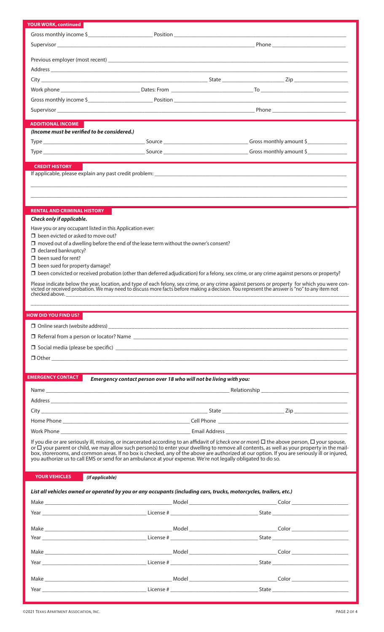|                                                           |                                                                                                                   | Supervisor Phone Phone Phone Phone Phone Phone Phone Phone Phone Phone Phone Phone Phone Phone Phone Phone Phone Phone Phone Phone Phone Phone Phone Phone Phone Phone Phone Phone Phone Phone Phone Phone Phone Phone Phone P                                                                              |  |
|-----------------------------------------------------------|-------------------------------------------------------------------------------------------------------------------|-------------------------------------------------------------------------------------------------------------------------------------------------------------------------------------------------------------------------------------------------------------------------------------------------------------|--|
|                                                           |                                                                                                                   |                                                                                                                                                                                                                                                                                                             |  |
|                                                           |                                                                                                                   |                                                                                                                                                                                                                                                                                                             |  |
|                                                           |                                                                                                                   |                                                                                                                                                                                                                                                                                                             |  |
|                                                           |                                                                                                                   |                                                                                                                                                                                                                                                                                                             |  |
|                                                           |                                                                                                                   |                                                                                                                                                                                                                                                                                                             |  |
|                                                           |                                                                                                                   |                                                                                                                                                                                                                                                                                                             |  |
|                                                           |                                                                                                                   |                                                                                                                                                                                                                                                                                                             |  |
| <b>ADDITIONAL INCOME</b>                                  |                                                                                                                   |                                                                                                                                                                                                                                                                                                             |  |
| (Income must be verified to be considered.)               |                                                                                                                   |                                                                                                                                                                                                                                                                                                             |  |
|                                                           |                                                                                                                   |                                                                                                                                                                                                                                                                                                             |  |
|                                                           |                                                                                                                   |                                                                                                                                                                                                                                                                                                             |  |
|                                                           |                                                                                                                   |                                                                                                                                                                                                                                                                                                             |  |
| <b>CREDIT HISTORY</b>                                     |                                                                                                                   |                                                                                                                                                                                                                                                                                                             |  |
|                                                           |                                                                                                                   |                                                                                                                                                                                                                                                                                                             |  |
|                                                           |                                                                                                                   |                                                                                                                                                                                                                                                                                                             |  |
|                                                           |                                                                                                                   |                                                                                                                                                                                                                                                                                                             |  |
| <b>RENTAL AND CRIMINAL HISTORY</b>                        |                                                                                                                   |                                                                                                                                                                                                                                                                                                             |  |
| Check only if applicable.                                 |                                                                                                                   |                                                                                                                                                                                                                                                                                                             |  |
| Have you or any occupant listed in this Application ever: |                                                                                                                   |                                                                                                                                                                                                                                                                                                             |  |
| $\Box$ been evicted or asked to move out?                 |                                                                                                                   |                                                                                                                                                                                                                                                                                                             |  |
|                                                           | $\Box$ moved out of a dwelling before the end of the lease term without the owner's consent?                      |                                                                                                                                                                                                                                                                                                             |  |
| $\Box$ declared bankruptcy?<br>$\Box$ been sued for rent? |                                                                                                                   |                                                                                                                                                                                                                                                                                                             |  |
| $\Box$ been sued for property damage?                     |                                                                                                                   |                                                                                                                                                                                                                                                                                                             |  |
|                                                           |                                                                                                                   | $\Box$ been convicted or received probation (other than deferred adjudication) for a felony, sex crime, or any crime against persons or property?                                                                                                                                                           |  |
|                                                           |                                                                                                                   | Please indicate below the year, location, and type of each felony, sex crime, or any crime against persons or property for which you were convicted or received probation. We may need to discuss more facts before making a d                                                                              |  |
|                                                           |                                                                                                                   |                                                                                                                                                                                                                                                                                                             |  |
|                                                           |                                                                                                                   |                                                                                                                                                                                                                                                                                                             |  |
|                                                           |                                                                                                                   |                                                                                                                                                                                                                                                                                                             |  |
|                                                           |                                                                                                                   |                                                                                                                                                                                                                                                                                                             |  |
|                                                           |                                                                                                                   |                                                                                                                                                                                                                                                                                                             |  |
|                                                           |                                                                                                                   |                                                                                                                                                                                                                                                                                                             |  |
|                                                           |                                                                                                                   |                                                                                                                                                                                                                                                                                                             |  |
|                                                           |                                                                                                                   |                                                                                                                                                                                                                                                                                                             |  |
|                                                           |                                                                                                                   |                                                                                                                                                                                                                                                                                                             |  |
|                                                           |                                                                                                                   |                                                                                                                                                                                                                                                                                                             |  |
| <b>EMERGENCY CONTACT</b>                                  | Emergency contact person over 18 who will not be living with you:                                                 |                                                                                                                                                                                                                                                                                                             |  |
|                                                           |                                                                                                                   |                                                                                                                                                                                                                                                                                                             |  |
|                                                           |                                                                                                                   |                                                                                                                                                                                                                                                                                                             |  |
|                                                           |                                                                                                                   |                                                                                                                                                                                                                                                                                                             |  |
|                                                           |                                                                                                                   |                                                                                                                                                                                                                                                                                                             |  |
|                                                           |                                                                                                                   |                                                                                                                                                                                                                                                                                                             |  |
|                                                           |                                                                                                                   |                                                                                                                                                                                                                                                                                                             |  |
|                                                           |                                                                                                                   | If you die or are seriously ill, missing, or incarcerated according to an affidavit of (check one or more) $\Box$ the above person, $\Box$ your spouse,<br>or $\Box$ your parent or child, we may allow such person(s) to enter your dwelling to remove all contents, as well as your property in the mail- |  |
|                                                           | you authorize us to call EMS or send for an ambulance at your expense. We're not legally obligated to do so.      | box, storerooms, and common areas. If no box is checked, any of the above are authorized at our option. If you are seriously ill or injured,                                                                                                                                                                |  |
|                                                           |                                                                                                                   |                                                                                                                                                                                                                                                                                                             |  |
| <b>YOUR VEHICLES</b>                                      | (If applicable)                                                                                                   |                                                                                                                                                                                                                                                                                                             |  |
|                                                           |                                                                                                                   |                                                                                                                                                                                                                                                                                                             |  |
|                                                           | List all vehicles owned or operated by you or any occupants (including cars, trucks, motorcycles, trailers, etc.) |                                                                                                                                                                                                                                                                                                             |  |
|                                                           |                                                                                                                   |                                                                                                                                                                                                                                                                                                             |  |
|                                                           |                                                                                                                   |                                                                                                                                                                                                                                                                                                             |  |
|                                                           |                                                                                                                   |                                                                                                                                                                                                                                                                                                             |  |
|                                                           |                                                                                                                   |                                                                                                                                                                                                                                                                                                             |  |
|                                                           |                                                                                                                   | Year State State State State State State State State State State State State State State State State State State State State State State State State State State State State State State State State State State State State S                                                                              |  |
|                                                           |                                                                                                                   |                                                                                                                                                                                                                                                                                                             |  |
| <b>HOW DID YOU FIND US?</b>                               |                                                                                                                   |                                                                                                                                                                                                                                                                                                             |  |
|                                                           |                                                                                                                   |                                                                                                                                                                                                                                                                                                             |  |
| Year                                                      |                                                                                                                   | State                                                                                                                                                                                                                                                                                                       |  |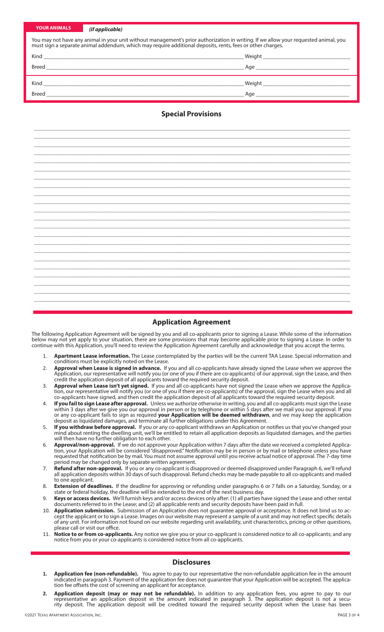| YOUR ANIMALS |  |  |  |
|--------------|--|--|--|
|              |  |  |  |

#### *(if applicable)*

| You may not have any animal in your unit without management's prior authorization in writing. If we allow your requested animal, you<br>must sign a separate animal addendum, which may require additional deposits, rents, fees or other charges. |                                                                                                                |  |
|----------------------------------------------------------------------------------------------------------------------------------------------------------------------------------------------------------------------------------------------------|----------------------------------------------------------------------------------------------------------------|--|
|                                                                                                                                                                                                                                                    |                                                                                                                |  |
|                                                                                                                                                                                                                                                    |                                                                                                                |  |
|                                                                                                                                                                                                                                                    |                                                                                                                |  |
|                                                                                                                                                                                                                                                    | Age and the state of the state of the state of the state of the state of the state of the state of the state o |  |

# **Special Provisions**

\_\_\_\_\_\_\_\_\_\_\_\_\_\_\_\_\_\_\_\_\_\_\_\_\_\_\_\_\_\_\_\_\_\_\_\_\_\_\_\_\_\_\_\_\_\_\_\_\_\_\_\_\_\_\_\_\_\_\_\_\_\_\_\_\_\_\_\_\_\_\_\_\_\_\_\_\_\_\_\_\_\_\_\_\_\_\_\_\_\_\_\_\_\_\_\_\_\_\_\_\_\_\_\_\_\_\_\_\_\_\_\_\_\_\_\_\_\_\_\_\_\_\_\_\_\_

# **Application Agreement**

The following Application Agreement will be signed by you and all co-applicants prior to signing a Lease. While some of the information below may not yet apply to your situation, there are some provisions that may become applicable prior to signing a Lease. In order to continue with this Application, you'll need to review the Application Agreement carefully and acknowledge that you accept the terms.

- 1. **Apartment Lease information.** The Lease contemplated by the parties will be the current TAA Lease. Special information and conditions must be explicitly noted on the Lease.
- 2. **Approval when Lease is signed in advance.** If you and all co-applicants have already signed the Lease when we approve the Application, our representative will notify you (or one of you if there are co-applicants) of our approval, sign the Lease, and then credit the application deposit of all applicants toward the required security deposit.
- 3. **Approval when Lease isn't yet signed.** If you and all co-applicants have not signed the Lease when we approve the Application, our representative will notify you (or one of you if there are co-applicants) of the approval, sign the Lease when you and all co-applicants have signed, and then credit the application deposit of all applicants toward the required security deposit.
- 4. **If you fail to sign Lease after approval.** Unless we authorize otherwise in writing, you and all co-applicants must sign the Lease within 3 days after we give you our approval in person or by telephone or within 5 days after we mail you our approval. If you or any co-applicant fails to sign as required **your Application will be deemed withdrawn**, and we may keep the application deposit as liquidated damages, and terminate all further obligations under this Agreement.
- If you withdraw before approval. If you or any co-applicant withdraws an Application or notifies us that you've changed your mind about renting the dwelling unit, we'll be entitled to retain all application deposits as liquidated damages, and the parties will then have no further obligation to each other.
- 6. **Approval/non-approval.** If we do not approve your Application within 7 days after the date we received a completed Application, your Application will be considered "disapproved." Notification may be in person or by mail or telephone unless you have requested that notification be by mail. You must not assume approval until you receive actual notice of approval. The 7-day time period may be changed only by separate written agreement.
- 7. **Refund after non-approval.** If you or any co-applicant is disapproved or deemed disapproved under Paragraph 6, we'll refund all application deposits within 30 days of such disapproval. Refund checks may be made payable to all co-applicants and mailed to one applicant.
- 8. **Extension of deadlines.** If the deadline for approving or refunding under paragraphs 6 or 7 falls on a Saturday, Sunday, or a state or federal holiday, the deadline will be extended to the end of the next business day.
- 9. **Keys or access devices.** We'll furnish keys and/or access devices only after: (1) all parties have signed the Lease and other rental documents referred to in the Lease; and (2) all applicable rents and security deposits have been paid in full.
- 10. **Application submission.** Submission of an Application does not guarantee approval or acceptance. It does not bind us to accept the applicant or to sign a Lease. Images on our website may represent a sample of a unit and may not reflect specific details of any unit. For information not found on our website regarding unit availability, unit characteristics, pricing or other questions, please call or visit our office.
- 11. **Notice to or from co-applicants.** Any notice we give you or your co-applicant is considered notice to all co-applicants; and any notice from you or your co-applicants is considered notice from all co-applicants.

## **Disclosures**

- **1. Application fee (non-refundable).** You agree to pay to our representative the non-refundable application fee in the amount indicated in paragraph 3. Payment of the application fee does not guarantee that your Application will be accepted. The application fee offsets the cost of screening an applicant for acceptance.
- **2. Application deposit (may or may not be refundable).** In addition to any application fees, you agree to pay to our representative an application deposit in the amount indicated in paragraph 3. The application deposit is not a security deposit. The application deposit will be credited toward the required security deposit when the Lease has been